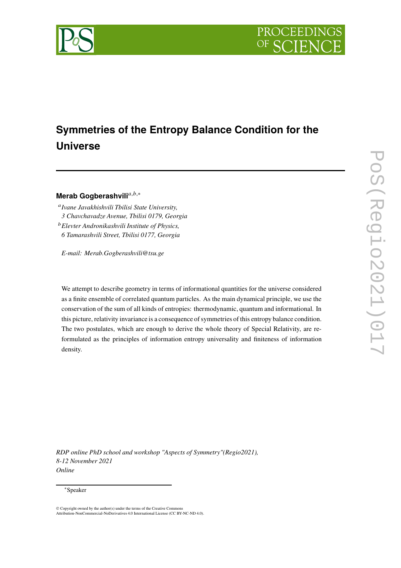

# **Symmetries of the Entropy Balance Condition for the Universe**

## Merab Gogberashvili<sup>a,b,∗</sup>

𝑎 *Ivane Javakhishvili Tbilisi State University, 3 Chavchavadze Avenue, Tbilisi 0179, Georgia* <sup>𝑏</sup>*Elevter Andronikashvili Institute of Physics, 6 Tamarashvili Street, Tbilisi 0177, Georgia*

*E-mail: Merab.Gogberashvili@tsu.ge*

We attempt to describe geometry in terms of informational quantities for the universe considered as a finite ensemble of correlated quantum particles. As the main dynamical principle, we use the conservation of the sum of all kinds of entropies: thermodynamic, quantum and informational. In this picture, relativity invariance is a consequence of symmetries of this entropy balance condition. The two postulates, which are enough to derive the whole theory of Special Relativity, are reformulated as the principles of information entropy universality and finiteness of information density.

*RDP online PhD school and workshop "Aspects of Symmetry"(Regio2021), 8-12 November 2021 Online*

#### <sup>∗</sup>Speaker

<sup>©</sup> Copyright owned by the author(s) under the terms of the Creative Commons Attribution-NonCommercial-NoDerivatives 4.0 International License (CC BY-NC-ND 4.0).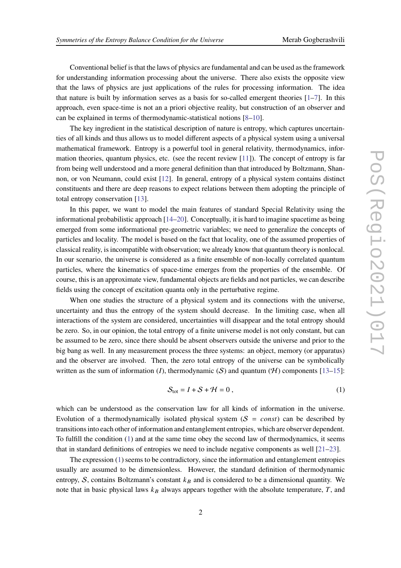Conventional belief is that the laws of physics are fundamental and can be used as the framework for understanding information processing about the universe. There also exists the opposite view that the laws of physics are just applications of the rules for processing information. The idea that nature is built by information serves as a basis for so-called emergent theories  $[1-7]$ . In this approach, even space-time is not an a priori objective reality, but construction of an observer and can be explained in terms of thermodynamic-statistical notions [\[8](#page-7-2)[–10](#page-7-3)].

The key ingredient in the statistical description of nature is entropy, which captures uncertainties of all kinds and thus allows us to model different aspects of a physical system using a universal mathematical framework. Entropy is a powerful tool in general relativity, thermodynamics, information theories, quantum physics, etc. (see the recent review [\[11\]](#page-7-4)). The concept of entropy is far from being well understood and a more general definition than that introduced by Boltzmann, Shannon, or von Neumann, could exist [\[12](#page-7-5)]. In general, entropy of a physical system contains distinct constituents and there are deep reasons to expect relations between them adopting the principle of total entropy conservation [\[13](#page-7-6)].

In this paper, we want to model the main features of standard Special Relativity using the informational probabilistic approach [\[14](#page-7-7)[–20](#page-8-0)]. Conceptually, it is hard to imagine spacetime as being emerged from some informational pre-geometric variables; we need to generalize the concepts of particles and locality. The model is based on the fact that locality, one of the assumed properties of classical reality, is incompatible with observation; we already know that quantum theory is nonlocal. In our scenario, the universe is considered as a finite ensemble of non-locally correlated quantum particles, where the kinematics of space-time emerges from the properties of the ensemble. Of course, this is an approximate view, fundamental objects are fields and not particles, we can describe fields using the concept of excitation quanta only in the perturbative regime.

When one studies the structure of a physical system and its connections with the universe, uncertainty and thus the entropy of the system should decrease. In the limiting case, when all interactions of the system are considered, uncertainties will disappear and the total entropy should be zero. So, in our opinion, the total entropy of a finite universe model is not only constant, but can be assumed to be zero, since there should be absent observers outside the universe and prior to the big bang as well. In any measurement process the three systems: an object, memory (or apparatus) and the observer are involved. Then, the zero total entropy of the universe can be symbolically written as the sum of information (*I*), thermodynamic (*S*) and quantum (*H*) components [\[13](#page-7-6)[–15](#page-7-8)]:

<span id="page-1-0"></span>
$$
S_{\text{tot}} = I + S + \mathcal{H} = 0 \,, \tag{1}
$$

which can be understood as the conservation law for all kinds of information in the universe. Evolution of a thermodynamically isolated physical system  $(S = const)$  can be described by transitions into each other of information and entanglement entropies, which are observer dependent. To fulfill the condition [\(1\)](#page-1-0) and at the same time obey the second law of thermodynamics, it seems that in standard definitions of entropies we need to include negative components as well [\[21](#page-8-1)[–23](#page-8-2)].

The expression [\(1\)](#page-1-0) seems to be contradictory, since the information and entanglement entropies usually are assumed to be dimensionless. However, the standard definition of thermodynamic entropy, S, contains Boltzmann's constant  $k_B$  and is considered to be a dimensional quantity. We note that in basic physical laws  $k_B$  always appears together with the absolute temperature,  $T$ , and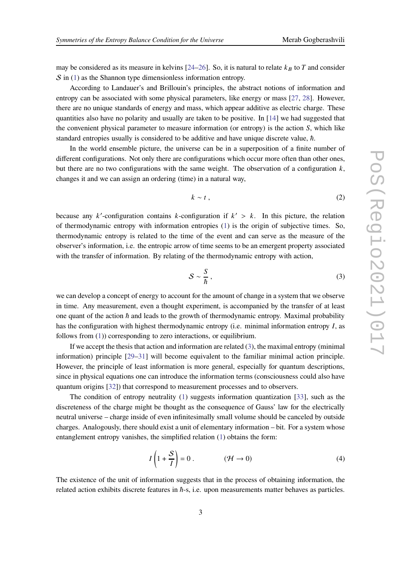may be considered as its measure in kelvins [\[24](#page-8-3)[–26](#page-8-4)]. So, it is natural to relate  $k_B$  to T and consider  $S$  in [\(1\)](#page-1-0) as the Shannon type dimensionless information entropy.

According to Landauer's and Brillouin's principles, the abstract notions of information and entropy can be associated with some physical parameters, like energy or mass [\[27](#page-8-5), [28\]](#page-8-6). However, there are no unique standards of energy and mass, which appear additive as electric charge. These quantities also have no polarity and usually are taken to be positive. In [\[14\]](#page-7-7) we had suggested that the convenient physical parameter to measure information (or entropy) is the action  $S$ , which like standard entropies usually is considered to be additive and have unique discrete value,  $\hbar$ .

In the world ensemble picture, the universe can be in a superposition of a finite number of different configurations. Not only there are configurations which occur more often than other ones, but there are no two configurations with the same weight. The observation of a configuration  $k$ , changes it and we can assign an ordering (time) in a natural way,

<span id="page-2-1"></span>
$$
k \sim t \tag{2}
$$

because any  $k'$ -configuration contains  $k$ -configuration if  $k' > k$ . In this picture, the relation of thermodynamic entropy with information entropies [\(1\)](#page-1-0) is the origin of subjective times. So, thermodynamic entropy is related to the time of the event and can serve as the measure of the observer's information, i.e. the entropic arrow of time seems to be an emergent property associated with the transfer of information. By relating of the thermodynamic entropy with action,

<span id="page-2-0"></span>
$$
S \sim \frac{S}{\hbar} \,, \tag{3}
$$

we can develop a concept of energy to account for the amount of change in a system that we observe in time. Any measurement, even a thought experiment, is accompanied by the transfer of at least one quant of the action  $\hbar$  and leads to the growth of thermodynamic entropy. Maximal probability has the configuration with highest thermodynamic entropy (i.e. minimal information entropy  $I$ , as follows from [\(1\)](#page-1-0)) corresponding to zero interactions, or equilibrium.

If we accept the thesis that action and information are related [\(3\)](#page-2-0), the maximal entropy (minimal information) principle [\[29](#page-8-7)[–31](#page-9-0)] will become equivalent to the familiar minimal action principle. However, the principle of least information is more general, especially for quantum descriptions, since in physical equations one can introduce the information terms (consciousness could also have quantum origins [\[32\]](#page-9-1)) that correspond to measurement processes and to observers.

The condition of entropy neutrality [\(1\)](#page-1-0) suggests information quantization [\[33\]](#page-9-2), such as the discreteness of the charge might be thought as the consequence of Gauss' law for the electrically neutral universe – charge inside of even infinitesimally small volume should be canceled by outside charges. Analogously, there should exist a unit of elementary information – bit. For a system whose entanglement entropy vanishes, the simplified relation [\(1\)](#page-1-0) obtains the form:

<span id="page-2-2"></span>
$$
I\left(1+\frac{S}{I}\right) = 0\tag{4}
$$

The existence of the unit of information suggests that in the process of obtaining information, the related action exhibits discrete features in ℏ-s, i.e. upon measurements matter behaves as particles.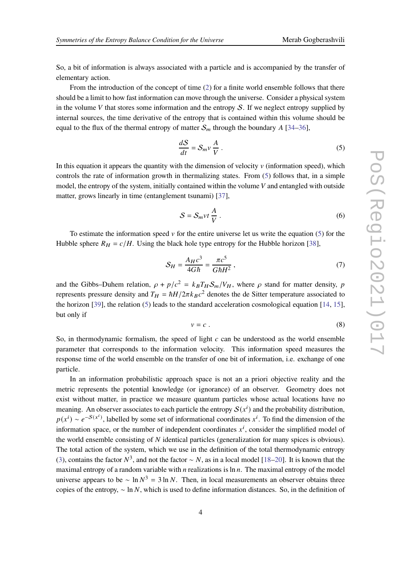So, a bit of information is always associated with a particle and is accompanied by the transfer of elementary action.

From the introduction of the concept of time [\(2\)](#page-2-1) for a finite world ensemble follows that there should be a limit to how fast information can move through the universe. Consider a physical system in the volume  $V$  that stores some information and the entropy  $S$ . If we neglect entropy supplied by internal sources, the time derivative of the entropy that is contained within this volume should be equal to the flux of the thermal entropy of matter  $S_m$  through the boundary A [\[34](#page-9-3)[–36](#page-9-4)],

<span id="page-3-0"></span>
$$
\frac{dS}{dt} = S_m v \frac{A}{V} \,. \tag{5}
$$

In this equation it appears the quantity with the dimension of velocity  $\nu$  (information speed), which controls the rate of information growth in thermalizing states. From [\(5\)](#page-3-0) follows that, in a simple model, the entropy of the system, initially contained within the volume  $V$  and entangled with outside matter, grows linearly in time (entanglement tsunami) [\[37](#page-9-5)],

<span id="page-3-3"></span>
$$
S = S_m vt \frac{A}{V} . \t\t(6)
$$

To estimate the information speed  $\nu$  for the entire universe let us write the equation [\(5\)](#page-3-0) for the Hubble sphere  $R_H = c/H$ . Using the black hole type entropy for the Hubble horizon [\[38](#page-9-6)],

<span id="page-3-1"></span>
$$
S_H = \frac{A_H c^3}{4G\hbar} = \frac{\pi c^5}{G\hbar H^2} \,,\tag{7}
$$

and the Gibbs–Duhem relation,  $\rho + p/c^2 = k_B T_H S_m/V_H$ , where  $\rho$  stand for matter density, p represents pressure density and  $T_H = \hbar H/2\pi k_B c^2$  denotes the de Sitter temperature associated to the horizon [\[39](#page-9-7)], the relation [\(5\)](#page-3-0) leads to the standard acceleration cosmological equation [\[14](#page-7-7), [15](#page-7-8)], but only if

<span id="page-3-2"></span>
$$
v = c \tag{8}
$$

So, in thermodynamic formalism, the speed of light  $c$  can be understood as the world ensemble parameter that corresponds to the information velocity. This information speed measures the response time of the world ensemble on the transfer of one bit of information, i.e. exchange of one particle.

In an information probabilistic approach space is not an a priori objective reality and the metric represents the potential knowledge (or ignorance) of an observer. Geometry does not exist without matter, in practice we measure quantum particles whose actual locations have no meaning. An observer associates to each particle the entropy  $S(x^i)$  and the probability distribution,  $p(x^i) \sim e^{-S(x^i)}$ , labelled by some set of informational coordinates  $x^i$ . To find the dimension of the information space, or the number of independent coordinates  $x^i$ , consider the simplified model of the world ensemble consisting of  $N$  identical particles (generalization for many spices is obvious). The total action of the system, which we use in the definition of the total thermodynamic entropy [\(3\)](#page-2-0), contains the factor  $N^3$ , and not the factor ~ N, as in a local model [\[18](#page-8-8)[–20\]](#page-8-0). It is known that the maximal entropy of a random variable with *n* realizations is  $\ln n$ . The maximal entropy of the model universe appears to be  $\sim \ln N^3 = 3 \ln N$ . Then, in local measurements an observer obtains three copies of the entropy,  $\sim \ln N$ , which is used to define information distances. So, in the definition of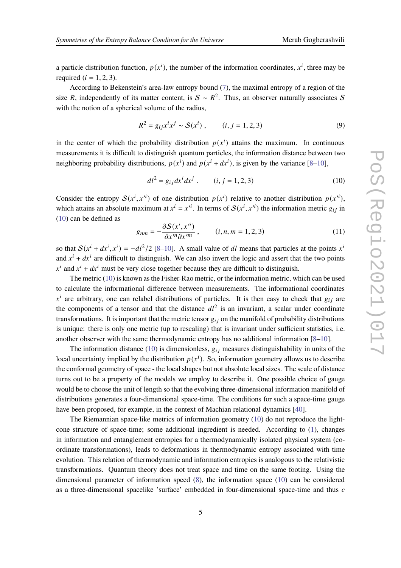a particle distribution function,  $p(x^i)$ , the number of the information coordinates,  $x^i$ , three may be required  $(i = 1, 2, 3)$ .

According to Bekenstein's area-law entropy bound [\(7\)](#page-3-1), the maximal entropy of a region of the size R, independently of its matter content, is  $S \sim R^2$ . Thus, an observer naturally associates S with the notion of a spherical volume of the radius,

$$
R^{2} = g_{ij}x^{i}x^{j} \sim S(x^{i}), \qquad (i, j = 1, 2, 3)
$$
 (9)

in the center of which the probability distribution  $p(x^i)$  attains the maximum. In continuous measurements it is difficult to distinguish quantum particles, the information distance between two neighboring probability distributions,  $p(x^{i})$  and  $p(x^{i} + dx^{i})$ , is given by the variance [\[8](#page-7-2)[–10](#page-7-3)],

<span id="page-4-0"></span>
$$
dl^2 = g_{ij} dx^i dx^j . \qquad (i, j = 1, 2, 3)
$$
 (10)

Consider the entropy  $S(x^i, x^i)$  of one distribution  $p(x^i)$  relative to another distribution  $p(x^i)$ , which attains an absolute maximum at  $x^i = x^{i}$ . In terms of  $\mathcal{S}(x^i, x^{i})$  the information metric  $g_{ij}$  in [\(10\)](#page-4-0) can be defined as

$$
g_{nm} = -\frac{\partial S(x^i, x'^i)}{\partial x^m \partial x'^m}, \qquad (i, n, m = 1, 2, 3)
$$
 (11)

so that  $S(x^{i} + dx^{i}, x^{i}) = -dt^{2}/2$  [\[8](#page-7-2)[–10](#page-7-3)]. A small value of dl means that particles at the points  $x^{i}$ and  $x^{i} + dx^{i}$  are difficult to distinguish. We can also invert the logic and assert that the two points  $x^{i}$  and  $x^{i} + dx^{i}$  must be very close together because they are difficult to distinguish.

The metric [\(10\)](#page-4-0) is known as the Fisher-Rao metric, or the information metric, which can be used to calculate the informational difference between measurements. The informational coordinates  $x^i$  are arbitrary, one can relabel distributions of particles. It is then easy to check that  $g_{ij}$  are the components of a tensor and that the distance  $dl^2$  is an invariant, a scalar under coordinate transformations. It is important that the metric tensor  $g_{ij}$  on the manifold of probability distributions is unique: there is only one metric (up to rescaling) that is invariant under sufficient statistics, i.e. another observer with the same thermodynamic entropy has no additional information [\[8](#page-7-2)[–10](#page-7-3)].

The information distance [\(10\)](#page-4-0) is dimensionless,  $g_{ij}$  measures distinguishability in units of the local uncertainty implied by the distribution  $p(x^i)$ . So, information geometry allows us to describe the conformal geometry of space - the local shapes but not absolute local sizes. The scale of distance turns out to be a property of the models we employ to describe it. One possible choice of gauge would be to choose the unit of length so that the evolving three-dimensional information manifold of distributions generates a four-dimensional space-time. The conditions for such a space-time gauge have been proposed, for example, in the context of Machian relational dynamics [\[40\]](#page-9-8).

The Riemannian space-like metrics of information geometry [\(10\)](#page-4-0) do not reproduce the lightcone structure of space-time; some additional ingredient is needed. According to [\(1\)](#page-1-0), changes in information and entanglement entropies for a thermodynamically isolated physical system (coordinate transformations), leads to deformations in thermodynamic entropy associated with time evolution. This relation of thermodynamic and information entropies is analogous to the relativistic transformations. Quantum theory does not treat space and time on the same footing. Using the dimensional parameter of information speed [\(8\)](#page-3-2), the information space [\(10\)](#page-4-0) can be considered as a three-dimensional spacelike 'surface' embedded in four-dimensional space-time and thus  $c$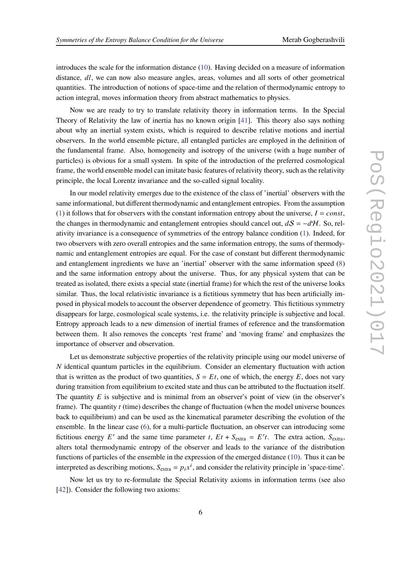introduces the scale for the information distance [\(10\)](#page-4-0). Having decided on a measure of information distance,  $dl$ , we can now also measure angles, areas, volumes and all sorts of other geometrical quantities. The introduction of notions of space-time and the relation of thermodynamic entropy to action integral, moves information theory from abstract mathematics to physics.

Now we are ready to try to translate relativity theory in information terms. In the Special Theory of Relativity the law of inertia has no known origin [\[41](#page-9-9)]. This theory also says nothing about why an inertial system exists, which is required to describe relative motions and inertial observers. In the world ensemble picture, all entangled particles are employed in the definition of the fundamental frame. Also, homogeneity and isotropy of the universe (with a huge number of particles) is obvious for a small system. In spite of the introduction of the preferred cosmological frame, the world ensemble model can imitate basic features of relativity theory, such as the relativity principle, the local Lorentz invariance and the so-called signal locality.

In our model relativity emerges due to the existence of the class of 'inertial' observers with the same informational, but different thermodynamic and entanglement entropies. From the assumption [\(1\)](#page-1-0) it follows that for observers with the constant information entropy about the universe,  $I = const$ , the changes in thermodynamic and entanglement entropies should cancel out,  $dS = -dH$ . So, relativity invariance is a consequence of symmetries of the entropy balance condition [\(1\)](#page-1-0). Indeed, for two observers with zero overall entropies and the same information entropy, the sums of thermodynamic and entanglement entropies are equal. For the case of constant but different thermodynamic and entanglement ingredients we have an 'inertial' observer with the same information speed [\(8\)](#page-3-2) and the same information entropy about the universe. Thus, for any physical system that can be treated as isolated, there exists a special state (inertial frame) for which the rest of the universe looks similar. Thus, the local relativistic invariance is a fictitious symmetry that has been artificially imposed in physical models to account the observer dependence of geometry. This fictitious symmetry disappears for large, cosmological scale systems, i.e. the relativity principle is subjective and local. Entropy approach leads to a new dimension of inertial frames of reference and the transformation between them. It also removes the concepts 'rest frame' and 'moving frame' and emphasizes the importance of observer and observation.

Let us demonstrate subjective properties of the relativity principle using our model universe of  $N$  identical quantum particles in the equilibrium. Consider an elementary fluctuation with action that is written as the product of two quantities,  $S = Et$ , one of which, the energy E, does not vary during transition from equilibrium to excited state and thus can be attributed to the fluctuation itself. The quantity  $E$  is subjective and is minimal from an observer's point of view (in the observer's frame). The quantity  $t$  (time) describes the change of fluctuation (when the model universe bounces back to equilibrium) and can be used as the kinematical parameter describing the evolution of the ensemble. In the linear case [\(6\)](#page-3-3), for a multi-particle fluctuation, an observer can introducing some fictitious energy E' and the same time parameter t,  $Et + S_{\text{extra}} = E't$ . The extra action,  $S_{\text{extra}}$ , alters total thermodynamic entropy of the observer and leads to the variance of the distribution functions of particles of the ensemble in the expression of the emerged distance [\(10\)](#page-4-0). Thus it can be interpreted as describing motions,  $S_{\text{extra}} = p_i x^i$ , and consider the relativity principle in 'space-time'.

Now let us try to re-formulate the Special Relativity axioms in information terms (see also [\[42\]](#page-9-10)). Consider the following two axioms: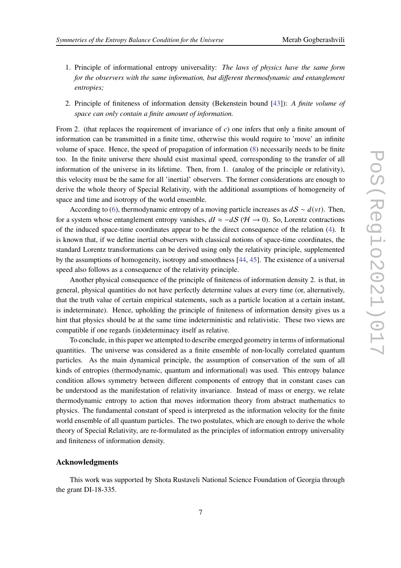- 1. Principle of informational entropy universality: *The laws of physics have the same form for the observers with the same information, but different thermodynamic and entanglement entropies;*
- 2. Principle of finiteness of information density (Bekenstein bound [\[43](#page-9-11)]): *A finite volume of space can only contain a finite amount of information.*

From 2. (that replaces the requirement of invariance of  $c$ ) one infers that only a finite amount of information can be transmitted in a finite time, otherwise this would require to 'move' an infinite volume of space. Hence, the speed of propagation of information [\(8\)](#page-3-2) necessarily needs to be finite too. In the finite universe there should exist maximal speed, corresponding to the transfer of all information of the universe in its lifetime. Then, from 1. (analog of the principle or relativity), this velocity must be the same for all 'inertial' observers. The former considerations are enough to derive the whole theory of Special Relativity, with the additional assumptions of homogeneity of space and time and isotropy of the world ensemble.

According to [\(6\)](#page-3-3), thermodynamic entropy of a moving particle increases as  $dS \sim d(vt)$ . Then, for a system whose entanglement entropy vanishes,  $dI \approx -dS$  ( $H \rightarrow 0$ ). So, Lorentz contractions of the induced space-time coordinates appear to be the direct consequence of the relation [\(4\)](#page-2-2). It is known that, if we define inertial observers with classical notions of space-time coordinates, the standard Lorentz transformations can be derived using only the relativity principle, supplemented by the assumptions of homogeneity, isotropy and smoothness [\[44](#page-9-12), [45](#page-9-13)]. The existence of a universal speed also follows as a consequence of the relativity principle.

Another physical consequence of the principle of finiteness of information density 2. is that, in general, physical quantities do not have perfectly determine values at every time (or, alternatively, that the truth value of certain empirical statements, such as a particle location at a certain instant, is indeterminate). Hence, upholding the principle of finiteness of information density gives us a hint that physics should be at the same time indeterministic and relativistic. These two views are compatible if one regards (in)determinacy itself as relative.

To conclude, in this paper we attempted to describe emerged geometry in terms of informational quantities. The universe was considered as a finite ensemble of non-locally correlated quantum particles. As the main dynamical principle, the assumption of conservation of the sum of all kinds of entropies (thermodynamic, quantum and informational) was used. This entropy balance condition allows symmetry between different components of entropy that in constant cases can be understood as the manifestation of relativity invariance. Instead of mass or energy, we relate thermodynamic entropy to action that moves information theory from abstract mathematics to physics. The fundamental constant of speed is interpreted as the information velocity for the finite world ensemble of all quantum particles. The two postulates, which are enough to derive the whole theory of Special Relativity, are re-formulated as the principles of information entropy universality and finiteness of information density.

#### **Acknowledgments**

This work was supported by Shota Rustaveli National Science Foundation of Georgia through the grant DI-18-335.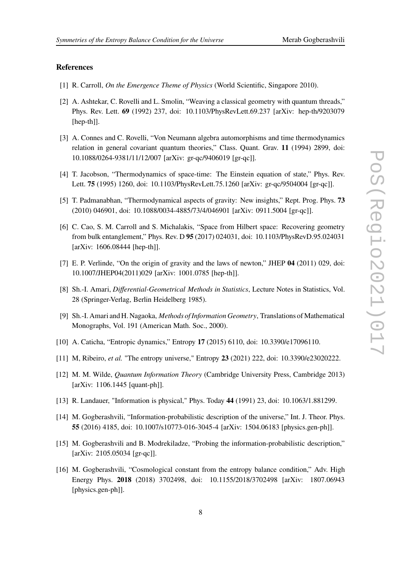### **References**

- <span id="page-7-0"></span>[1] R. Carroll, *On the Emergence Theme of Physics* (World Scientific, Singapore 2010).
- [2] A. Ashtekar, C. Rovelli and L. Smolin, "Weaving a classical geometry with quantum threads," Phys. Rev. Lett. **69** (1992) 237, doi: 10.1103/PhysRevLett.69.237 [arXiv: hep-th/9203079 [hep-th]].
- [3] A. Connes and C. Rovelli, "Von Neumann algebra automorphisms and time thermodynamics relation in general covariant quantum theories," Class. Quant. Grav. **11** (1994) 2899, doi: 10.1088/0264-9381/11/12/007 [arXiv: gr-qc/9406019 [gr-qc]].
- [4] T. Jacobson, "Thermodynamics of space-time: The Einstein equation of state," Phys. Rev. Lett. **75** (1995) 1260, doi: 10.1103/PhysRevLett.75.1260 [arXiv: gr-qc/9504004 [gr-qc]].
- [5] T. Padmanabhan, "Thermodynamical aspects of gravity: New insights," Rept. Prog. Phys. **73** (2010) 046901, doi: 10.1088/0034-4885/73/4/046901 [arXiv: 0911.5004 [gr-qc]].
- [6] C. Cao, S. M. Carroll and S. Michalakis, "Space from Hilbert space: Recovering geometry from bulk entanglement," Phys. Rev. D **95** (2017) 024031, doi: 10.1103/PhysRevD.95.024031 [arXiv: 1606.08444 [hep-th]].
- <span id="page-7-1"></span>[7] E. P. Verlinde, "On the origin of gravity and the laws of newton," JHEP **04** (2011) 029, doi: 10.1007/JHEP04(2011)029 [arXiv: 1001.0785 [hep-th]].
- <span id="page-7-2"></span>[8] Sh.-I. Amari, *Differential-Geometrical Methods in Statistics*, Lecture Notes in Statistics, Vol. 28 (Springer-Verlag, Berlin Heidelberg 1985).
- [9] Sh.-I. Amari and H. Nagaoka, *Methods of Information Geometry*, Translations of Mathematical Monographs, Vol. 191 (American Math. Soc., 2000).
- <span id="page-7-3"></span>[10] A. Caticha, "Entropic dynamics," Entropy **17** (2015) 6110, doi: 10.3390/e17096110.
- <span id="page-7-4"></span>[11] M, Ribeiro, *et al.* "The entropy universe," Entropy **23** (2021) 222, doi: 10.3390/e23020222.
- <span id="page-7-5"></span>[12] M. M. Wilde, *Quantum Information Theory* (Cambridge University Press, Cambridge 2013) [arXiv: 1106.1445 [quant-ph]].
- <span id="page-7-6"></span>[13] R. Landauer, "Information is physical," Phys. Today **44** (1991) 23, doi: 10.1063/1.881299.
- <span id="page-7-7"></span>[14] M. Gogberashvili, "Information-probabilistic description of the universe," Int. J. Theor. Phys. **55** (2016) 4185, doi: 10.1007/s10773-016-3045-4 [arXiv: 1504.06183 [physics.gen-ph]].
- <span id="page-7-8"></span>[15] M. Gogberashvili and B. Modrekiladze, "Probing the information-probabilistic description," [arXiv: 2105.05034 [gr-qc]].
- [16] M. Gogberashvili, "Cosmological constant from the entropy balance condition," Adv. High Energy Phys. **2018** (2018) 3702498, doi: 10.1155/2018/3702498 [arXiv: 1807.06943 [physics.gen-ph]].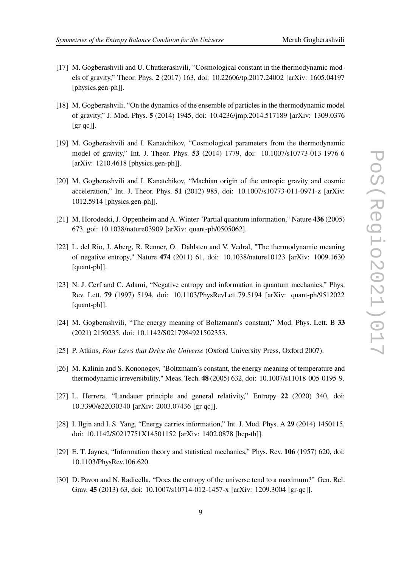- [17] M. Gogberashvili and U. Chutkerashvili, "Cosmological constant in the thermodynamic models of gravity," Theor. Phys. **2** (2017) 163, doi: 10.22606/tp.2017.24002 [arXiv: 1605.04197 [physics.gen-ph]].
- <span id="page-8-8"></span>[18] M. Gogberashvili, "On the dynamics of the ensemble of particles in the thermodynamic model of gravity," J. Mod. Phys. **5** (2014) 1945, doi: 10.4236/jmp.2014.517189 [arXiv: 1309.0376  $[gr-qc]$ ].
- [19] M. Gogberashvili and I. Kanatchikov, "Cosmological parameters from the thermodynamic model of gravity," Int. J. Theor. Phys. **53** (2014) 1779, doi: 10.1007/s10773-013-1976-6 [arXiv: 1210.4618 [physics.gen-ph]].
- <span id="page-8-0"></span>[20] M. Gogberashvili and I. Kanatchikov, "Machian origin of the entropic gravity and cosmic acceleration," Int. J. Theor. Phys. **51** (2012) 985, doi: 10.1007/s10773-011-0971-z [arXiv: 1012.5914 [physics.gen-ph]].
- <span id="page-8-1"></span>[21] M. Horodecki, J. Oppenheim and A. Winter "Partial quantum information," Nature **436** (2005) 673, goi: 10.1038/nature03909 [arXiv: quant-ph/0505062].
- [22] L. del Rio, J. Aberg, R. Renner, O. Dahlsten and V. Vedral, "The thermodynamic meaning of negative entropy," Nature **474** (2011) 61, doi: 10.1038/nature10123 [arXiv: 1009.1630 [quant-ph]].
- <span id="page-8-2"></span>[23] N. J. Cerf and C. Adami, "Negative entropy and information in quantum mechanics," Phys. Rev. Lett. **79** (1997) 5194, doi: 10.1103/PhysRevLett.79.5194 [arXiv: quant-ph/9512022 [quant-ph]].
- <span id="page-8-3"></span>[24] M. Gogberashvili, "The energy meaning of Boltzmann's constant," Mod. Phys. Lett. B **33** (2021) 2150235, doi: 10.1142/S0217984921502353.
- [25] P. Atkins, *Four Laws that Drive the Universe* (Oxford University Press, Oxford 2007).
- <span id="page-8-4"></span>[26] M. Kalinin and S. Kononogov, "Boltzmann's constant, the energy meaning of temperature and thermodynamic irreversibility," Meas. Tech. **48** (2005) 632, doi: 10.1007/s11018-005-0195-9.
- <span id="page-8-5"></span>[27] L. Herrera, "Landauer principle and general relativity," Entropy **22** (2020) 340, doi: 10.3390/e22030340 [arXiv: 2003.07436 [gr-qc]].
- <span id="page-8-6"></span>[28] I. Ilgin and I. S. Yang, "Energy carries information," Int. J. Mod. Phys. A **29** (2014) 1450115, doi: 10.1142/S0217751X14501152 [arXiv: 1402.0878 [hep-th]].
- <span id="page-8-7"></span>[29] E. T. Jaynes, "Information theory and statistical mechanics," Phys. Rev. **106** (1957) 620, doi: 10.1103/PhysRev.106.620.
- [30] D. Pavon and N. Radicella, "Does the entropy of the universe tend to a maximum?" Gen. Rel. Grav. **45** (2013) 63, doi: 10.1007/s10714-012-1457-x [arXiv: 1209.3004 [gr-qc]].